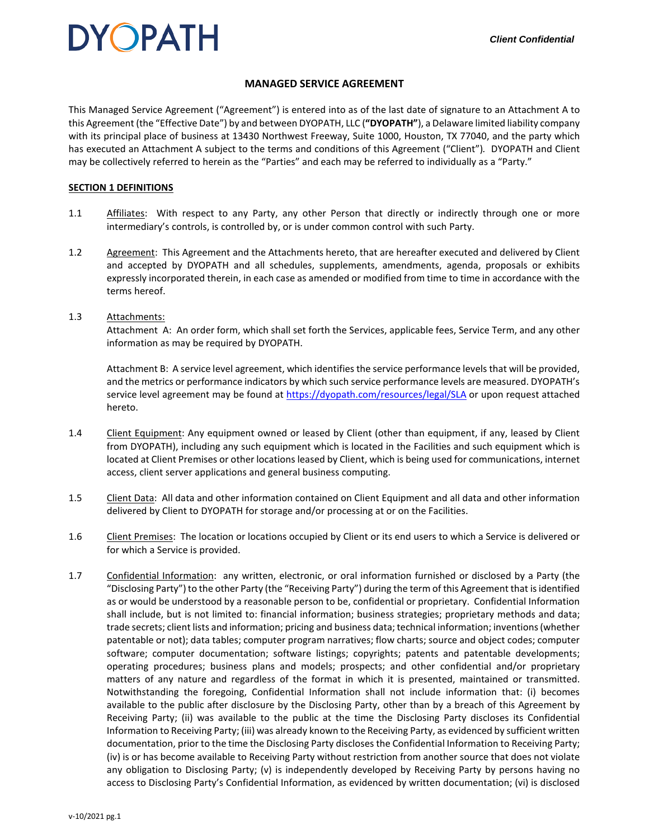### **MANAGED SERVICE AGREEMENT**

This Managed Service Agreement ("Agreement") is entered into as of the last date of signature to an Attachment A to this Agreement (the "Effective Date") by and between DYOPATH, LLC (**"DYOPATH"**), a Delaware limited liability company with its principal place of business at 13430 Northwest Freeway, Suite 1000, Houston, TX 77040, and the party which has executed an Attachment A subject to the terms and conditions of this Agreement ("Client")*.* DYOPATH and Client may be collectively referred to herein as the "Parties" and each may be referred to individually as a "Party."

#### **SECTION 1 DEFINITIONS**

- 1.1 Affiliates: With respect to any Party, any other Person that directly or indirectly through one or more intermediary's controls, is controlled by, or is under common control with such Party.
- 1.2 Agreement: This Agreement and the Attachments hereto, that are hereafter executed and delivered by Client and accepted by DYOPATH and all schedules, supplements, amendments, agenda, proposals or exhibits expressly incorporated therein, in each case as amended or modified from time to time in accordance with the terms hereof.

#### 1.3 Attachments:

Attachment A: An order form, which shall set forth the Services, applicable fees, Service Term, and any other information as may be required by DYOPATH.

Attachment B: A service level agreement, which identifies the service performance levels that will be provided, and the metrics or performance indicators by which such service performance levels are measured. DYOPATH's service level agreement may be found at<https://dyopath.com/resources/legal/SLA> or upon request attached hereto.

- 1.4 Client Equipment: Any equipment owned or leased by Client (other than equipment, if any, leased by Client from DYOPATH), including any such equipment which is located in the Facilities and such equipment which is located at Client Premises or other locations leased by Client, which is being used for communications, internet access, client server applications and general business computing.
- 1.5 Client Data: All data and other information contained on Client Equipment and all data and other information delivered by Client to DYOPATH for storage and/or processing at or on the Facilities.
- 1.6 Client Premises: The location or locations occupied by Client or its end users to which a Service is delivered or for which a Service is provided.
- 1.7 Confidential Information: any written, electronic, or oral information furnished or disclosed by a Party (the "Disclosing Party")to the other Party (the "Receiving Party") during the term of this Agreement that is identified as or would be understood by a reasonable person to be, confidential or proprietary. Confidential Information shall include, but is not limited to: financial information; business strategies; proprietary methods and data; trade secrets; client lists and information; pricing and business data; technical information; inventions (whether patentable or not); data tables; computer program narratives; flow charts; source and object codes; computer software; computer documentation; software listings; copyrights; patents and patentable developments; operating procedures; business plans and models; prospects; and other confidential and/or proprietary matters of any nature and regardless of the format in which it is presented, maintained or transmitted. Notwithstanding the foregoing, Confidential Information shall not include information that: (i) becomes available to the public after disclosure by the Disclosing Party, other than by a breach of this Agreement by Receiving Party; (ii) was available to the public at the time the Disclosing Party discloses its Confidential Information to Receiving Party; (iii) was already known to the Receiving Party, as evidenced by sufficient written documentation, prior to the time the Disclosing Party discloses the Confidential Information to Receiving Party; (iv) is or has become available to Receiving Party without restriction from another source that does not violate any obligation to Disclosing Party; (v) is independently developed by Receiving Party by persons having no access to Disclosing Party's Confidential Information, as evidenced by written documentation; (vi) is disclosed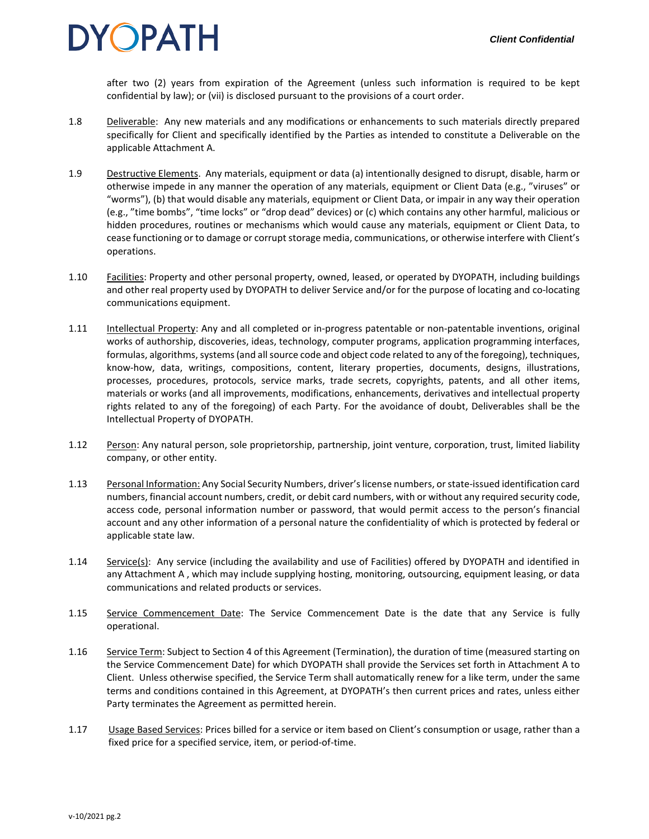after two (2) years from expiration of the Agreement (unless such information is required to be kept confidential by law); or (vii) is disclosed pursuant to the provisions of a court order.

- 1.8 Deliverable: Any new materials and any modifications or enhancements to such materials directly prepared specifically for Client and specifically identified by the Parties as intended to constitute a Deliverable on the applicable Attachment A.
- 1.9 Destructive Elements. Any materials, equipment or data (a) intentionally designed to disrupt, disable, harm or otherwise impede in any manner the operation of any materials, equipment or Client Data (e.g., "viruses" or "worms"), (b) that would disable any materials, equipment or Client Data, or impair in any way their operation (e.g., "time bombs", "time locks" or "drop dead" devices) or (c) which contains any other harmful, malicious or hidden procedures, routines or mechanisms which would cause any materials, equipment or Client Data, to cease functioning or to damage or corrupt storage media, communications, or otherwise interfere with Client's operations.
- 1.10 Facilities: Property and other personal property, owned, leased, or operated by DYOPATH, including buildings and other real property used by DYOPATH to deliver Service and/or for the purpose of locating and co-locating communications equipment.
- 1.11 Intellectual Property: Any and all completed or in-progress patentable or non-patentable inventions, original works of authorship, discoveries, ideas, technology, computer programs, application programming interfaces, formulas, algorithms, systems (and all source code and object code related to any of the foregoing), techniques, know-how, data, writings, compositions, content, literary properties, documents, designs, illustrations, processes, procedures, protocols, service marks, trade secrets, copyrights, patents, and all other items, materials or works (and all improvements, modifications, enhancements, derivatives and intellectual property rights related to any of the foregoing) of each Party. For the avoidance of doubt, Deliverables shall be the Intellectual Property of DYOPATH.
- 1.12 Person: Any natural person, sole proprietorship, partnership, joint venture, corporation, trust, limited liability company, or other entity.
- 1.13 Personal Information: Any Social Security Numbers, driver's license numbers, or state-issued identification card numbers, financial account numbers, credit, or debit card numbers, with or without any required security code, access code, personal information number or password, that would permit access to the person's financial account and any other information of a personal nature the confidentiality of which is protected by federal or applicable state law.
- 1.14 Service(s): Any service (including the availability and use of Facilities) offered by DYOPATH and identified in any Attachment A, which may include supplying hosting, monitoring, outsourcing, equipment leasing, or data communications and related products or services.
- 1.15 Service Commencement Date: The Service Commencement Date is the date that any Service is fully operational.
- 1.16 Service Term: Subject to Section 4 of this Agreement (Termination), the duration of time (measured starting on the Service Commencement Date) for which DYOPATH shall provide the Services set forth in Attachment A to Client. Unless otherwise specified, the Service Term shall automatically renew for a like term, under the same terms and conditions contained in this Agreement, at DYOPATH's then current prices and rates, unless either Party terminates the Agreement as permitted herein.
- 1.17 Usage Based Services: Prices billed for a service or item based on Client's consumption or usage, rather than a fixed price for a specified service, item, or period-of-time.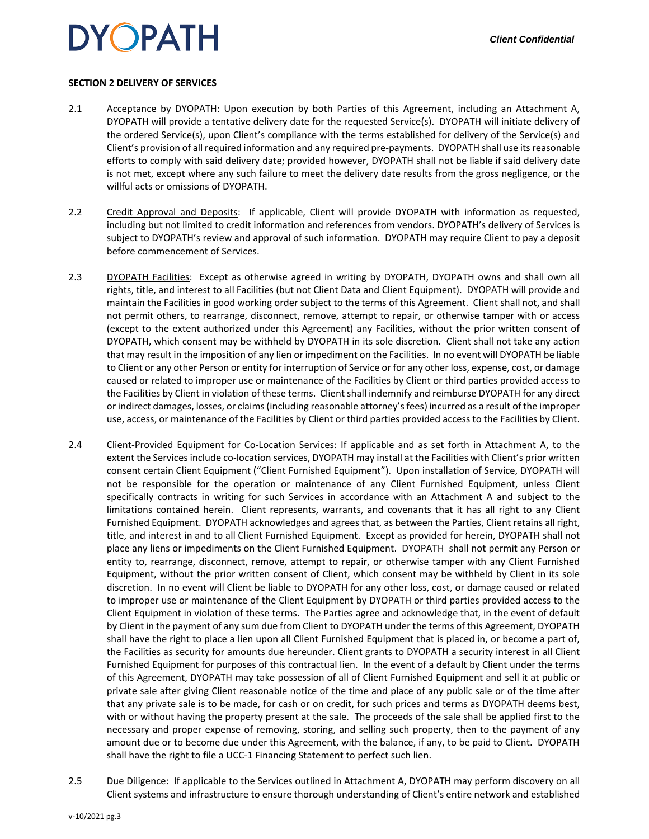### **SECTION 2 DELIVERY OF SERVICES**

- 2.1 Acceptance by DYOPATH: Upon execution by both Parties of this Agreement, including an Attachment A, DYOPATH will provide a tentative delivery date for the requested Service(s). DYOPATH will initiate delivery of the ordered Service(s), upon Client's compliance with the terms established for delivery of the Service(s) and Client's provision of all required information and any required pre-payments. DYOPATH shall use its reasonable efforts to comply with said delivery date; provided however, DYOPATH shall not be liable if said delivery date is not met, except where any such failure to meet the delivery date results from the gross negligence, or the willful acts or omissions of DYOPATH.
- 2.2 Credit Approval and Deposits: If applicable, Client will provide DYOPATH with information as requested, including but not limited to credit information and references from vendors. DYOPATH's delivery of Services is subject to DYOPATH's review and approval of such information. DYOPATH may require Client to pay a deposit before commencement of Services.
- 2.3 DYOPATH Facilities: Except as otherwise agreed in writing by DYOPATH, DYOPATH owns and shall own all rights, title, and interest to all Facilities (but not Client Data and Client Equipment). DYOPATH will provide and maintain the Facilities in good working order subject to the terms of this Agreement. Client shall not, and shall not permit others, to rearrange, disconnect, remove, attempt to repair, or otherwise tamper with or access (except to the extent authorized under this Agreement) any Facilities, without the prior written consent of DYOPATH, which consent may be withheld by DYOPATH in its sole discretion. Client shall not take any action that may result in the imposition of any lien or impediment on the Facilities. In no event will DYOPATH be liable to Client or any other Person or entity for interruption of Service or for any other loss, expense, cost, or damage caused or related to improper use or maintenance of the Facilities by Client or third parties provided access to the Facilities by Client in violation of these terms. Client shall indemnify and reimburse DYOPATH for any direct or indirect damages, losses, or claims(including reasonable attorney's fees) incurred as a result of the improper use, access, or maintenance of the Facilities by Client or third parties provided access to the Facilities by Client.
- 2.4 Client-Provided Equipment for Co-Location Services: If applicable and as set forth in Attachment A, to the extent the Services include co-location services, DYOPATH may install at the Facilities with Client's prior written consent certain Client Equipment ("Client Furnished Equipment"). Upon installation of Service, DYOPATH will not be responsible for the operation or maintenance of any Client Furnished Equipment, unless Client specifically contracts in writing for such Services in accordance with an Attachment A and subject to the limitations contained herein. Client represents, warrants, and covenants that it has all right to any Client Furnished Equipment. DYOPATH acknowledges and agrees that, as between the Parties, Client retains all right, title, and interest in and to all Client Furnished Equipment. Except as provided for herein, DYOPATH shall not place any liens or impediments on the Client Furnished Equipment. DYOPATH shall not permit any Person or entity to, rearrange, disconnect, remove, attempt to repair, or otherwise tamper with any Client Furnished Equipment, without the prior written consent of Client, which consent may be withheld by Client in its sole discretion. In no event will Client be liable to DYOPATH for any other loss, cost, or damage caused or related to improper use or maintenance of the Client Equipment by DYOPATH or third parties provided access to the Client Equipment in violation of these terms. The Parties agree and acknowledge that, in the event of default by Client in the payment of any sum due from Client to DYOPATH under the terms of this Agreement, DYOPATH shall have the right to place a lien upon all Client Furnished Equipment that is placed in, or become a part of, the Facilities as security for amounts due hereunder. Client grants to DYOPATH a security interest in all Client Furnished Equipment for purposes of this contractual lien. In the event of a default by Client under the terms of this Agreement, DYOPATH may take possession of all of Client Furnished Equipment and sell it at public or private sale after giving Client reasonable notice of the time and place of any public sale or of the time after that any private sale is to be made, for cash or on credit, for such prices and terms as DYOPATH deems best, with or without having the property present at the sale. The proceeds of the sale shall be applied first to the necessary and proper expense of removing, storing, and selling such property, then to the payment of any amount due or to become due under this Agreement, with the balance, if any, to be paid to Client. DYOPATH shall have the right to file a UCC-1 Financing Statement to perfect such lien.
- 2.5 Due Diligence: If applicable to the Services outlined in Attachment A, DYOPATH may perform discovery on all Client systems and infrastructure to ensure thorough understanding of Client's entire network and established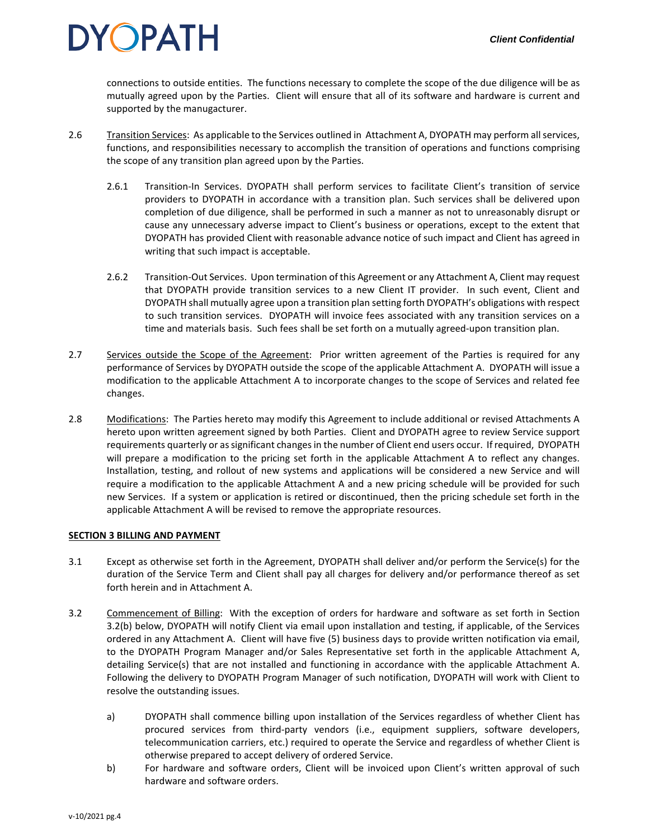connections to outside entities. The functions necessary to complete the scope of the due diligence will be as mutually agreed upon by the Parties. Client will ensure that all of its software and hardware is current and supported by the manugacturer.

- 2.6 Transition Services: As applicable to the Services outlined in Attachment A, DYOPATH may perform all services, functions, and responsibilities necessary to accomplish the transition of operations and functions comprising the scope of any transition plan agreed upon by the Parties.
	- 2.6.1 Transition-In Services. DYOPATH shall perform services to facilitate Client's transition of service providers to DYOPATH in accordance with a transition plan. Such services shall be delivered upon completion of due diligence, shall be performed in such a manner as not to unreasonably disrupt or cause any unnecessary adverse impact to Client's business or operations, except to the extent that DYOPATH has provided Client with reasonable advance notice of such impact and Client has agreed in writing that such impact is acceptable.
	- 2.6.2 Transition-Out Services. Upon termination of this Agreement or any Attachment A, Client may request that DYOPATH provide transition services to a new Client IT provider. In such event, Client and DYOPATH shall mutually agree upon a transition plan setting forth DYOPATH's obligations with respect to such transition services. DYOPATH will invoice fees associated with any transition services on a time and materials basis. Such fees shall be set forth on a mutually agreed-upon transition plan.
- 2.7 Services outside the Scope of the Agreement: Prior written agreement of the Parties is required for any performance of Services by DYOPATH outside the scope of the applicable Attachment A. DYOPATH will issue a modification to the applicable Attachment A to incorporate changes to the scope of Services and related fee changes.
- 2.8 Modifications: The Parties hereto may modify this Agreement to include additional or revised Attachments A hereto upon written agreement signed by both Parties. Client and DYOPATH agree to review Service support requirements quarterly or as significant changes in the number of Client end users occur. If required, DYOPATH will prepare a modification to the pricing set forth in the applicable Attachment A to reflect any changes. Installation, testing, and rollout of new systems and applications will be considered a new Service and will require a modification to the applicable Attachment A and a new pricing schedule will be provided for such new Services. If a system or application is retired or discontinued, then the pricing schedule set forth in the applicable Attachment A will be revised to remove the appropriate resources.

### **SECTION 3 BILLING AND PAYMENT**

- 3.1 Except as otherwise set forth in the Agreement, DYOPATH shall deliver and/or perform the Service(s) for the duration of the Service Term and Client shall pay all charges for delivery and/or performance thereof as set forth herein and in Attachment A.
- 3.2 Commencement of Billing: With the exception of orders for hardware and software as set forth in Section 3.2(b) below, DYOPATH will notify Client via email upon installation and testing, if applicable, of the Services ordered in any Attachment A. Client will have five (5) business days to provide written notification via email, to the DYOPATH Program Manager and/or Sales Representative set forth in the applicable Attachment A, detailing Service(s) that are not installed and functioning in accordance with the applicable Attachment A. Following the delivery to DYOPATH Program Manager of such notification, DYOPATH will work with Client to resolve the outstanding issues.
	- a) DYOPATH shall commence billing upon installation of the Services regardless of whether Client has procured services from third-party vendors (i.e., equipment suppliers, software developers, telecommunication carriers, etc.) required to operate the Service and regardless of whether Client is otherwise prepared to accept delivery of ordered Service.
	- b) For hardware and software orders, Client will be invoiced upon Client's written approval of such hardware and software orders.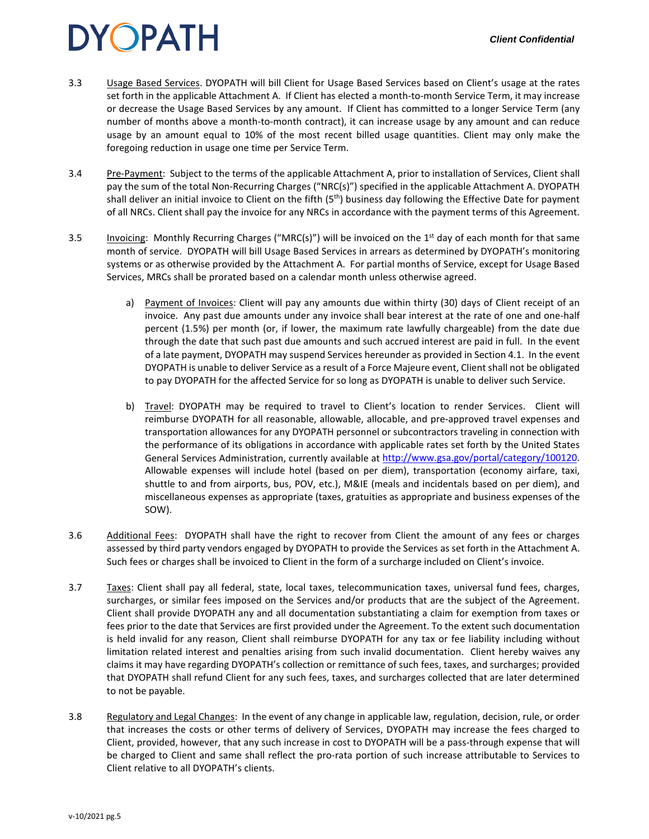- 3.3 Usage Based Services. DYOPATH will bill Client for Usage Based Services based on Client's usage at the rates set forth in the applicable Attachment A. If Client has elected a month-to-month Service Term, it may increase or decrease the Usage Based Services by any amount. If Client has committed to a longer Service Term (any number of months above a month-to-month contract), it can increase usage by any amount and can reduce usage by an amount equal to 10% of the most recent billed usage quantities. Client may only make the foregoing reduction in usage one time per Service Term.
- 3.4 Pre-Payment: Subject to the terms of the applicable Attachment A, prior to installation of Services, Client shall pay the sum of the total Non-Recurring Charges ("NRC(s)") specified in the applicable Attachment A. DYOPATH shall deliver an initial invoice to Client on the fifth (5<sup>th</sup>) business day following the Effective Date for payment of all NRCs. Client shall pay the invoice for any NRCs in accordance with the payment terms of this Agreement.
- 3.5 Invoicing: Monthly Recurring Charges ("MRC(s)") will be invoiced on the 1<sup>st</sup> day of each month for that same month of service. DYOPATH will bill Usage Based Services in arrears as determined by DYOPATH's monitoring systems or as otherwise provided by the Attachment A. For partial months of Service, except for Usage Based Services, MRCs shall be prorated based on a calendar month unless otherwise agreed.
	- a) Payment of Invoices: Client will pay any amounts due within thirty (30) days of Client receipt of an invoice. Any past due amounts under any invoice shall bear interest at the rate of one and one-half percent (1.5%) per month (or, if lower, the maximum rate lawfully chargeable) from the date due through the date that such past due amounts and such accrued interest are paid in full. In the event of a late payment, DYOPATH may suspend Services hereunder as provided in Section 4.1. In the event DYOPATH is unable to deliver Service as a result of a Force Majeure event, Client shall not be obligated to pay DYOPATH for the affected Service for so long as DYOPATH is unable to deliver such Service.
	- b) Travel: DYOPATH may be required to travel to Client's location to render Services. Client will reimburse DYOPATH for all reasonable, allowable, allocable, and pre-approved travel expenses and transportation allowances for any DYOPATH personnel or subcontractors traveling in connection with the performance of its obligations in accordance with applicable rates set forth by the United States General Services Administration, currently available at [http://www.gsa.gov/portal/category/100120.](http://www.gsa.gov/portal/category/100120) Allowable expenses will include hotel (based on per diem), transportation (economy airfare, taxi, shuttle to and from airports, bus, POV, etc.), M&IE (meals and incidentals based on per diem), and miscellaneous expenses as appropriate (taxes, gratuities as appropriate and business expenses of the SOW).
- 3.6 Additional Fees: DYOPATH shall have the right to recover from Client the amount of any fees or charges assessed by third party vendors engaged by DYOPATH to provide the Services as set forth in the Attachment A. Such fees or charges shall be invoiced to Client in the form of a surcharge included on Client's invoice.
- 3.7 Taxes: Client shall pay all federal, state, local taxes, telecommunication taxes, universal fund fees, charges, surcharges, or similar fees imposed on the Services and/or products that are the subject of the Agreement. Client shall provide DYOPATH any and all documentation substantiating a claim for exemption from taxes or fees prior to the date that Services are first provided under the Agreement. To the extent such documentation is held invalid for any reason, Client shall reimburse DYOPATH for any tax or fee liability including without limitation related interest and penalties arising from such invalid documentation. Client hereby waives any claims it may have regarding DYOPATH's collection or remittance of such fees, taxes, and surcharges; provided that DYOPATH shall refund Client for any such fees, taxes, and surcharges collected that are later determined to not be payable.
- 3.8 Regulatory and Legal Changes: In the event of any change in applicable law, regulation, decision, rule, or order that increases the costs or other terms of delivery of Services, DYOPATH may increase the fees charged to Client, provided, however, that any such increase in cost to DYOPATH will be a pass-through expense that will be charged to Client and same shall reflect the pro-rata portion of such increase attributable to Services to Client relative to all DYOPATH's clients.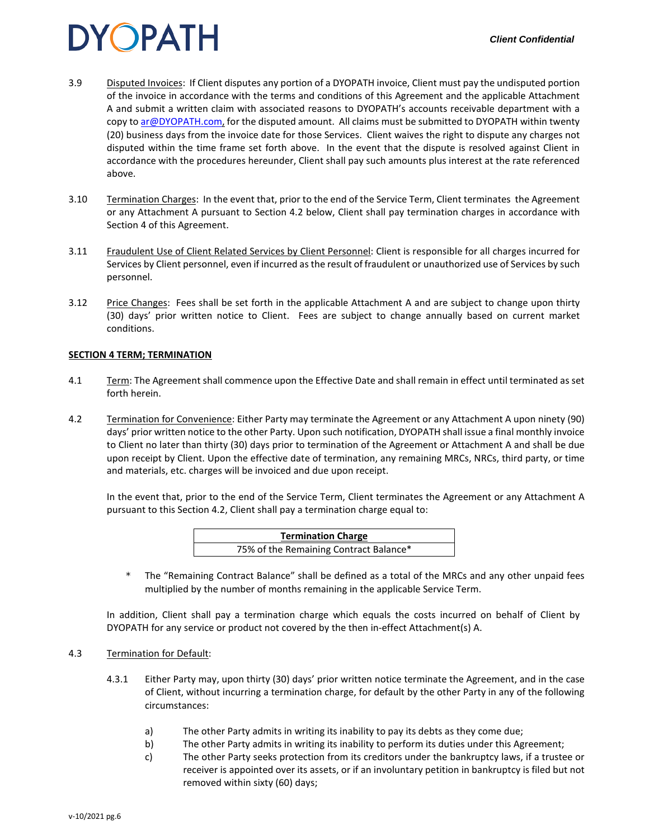- 3.9 Disputed Invoices: If Client disputes any portion of a DYOPATH invoice, Client must pay the undisputed portion of the invoice in accordance with the terms and conditions of this Agreement and the applicable Attachment A and submit a written claim with associated reasons to DYOPATH's accounts receivable department with a copy to [ar@DYOPATH.com,](mailto:ar@dyonyx.com) for the disputed amount. All claims must be submitted to DYOPATH within twenty (20) business days from the invoice date for those Services. Client waives the right to dispute any charges not disputed within the time frame set forth above. In the event that the dispute is resolved against Client in accordance with the procedures hereunder, Client shall pay such amounts plus interest at the rate referenced above.
- 3.10 Termination Charges: In the event that, prior to the end of the Service Term, Client terminates the Agreement or any Attachment A pursuant to Section 4.2 below, Client shall pay termination charges in accordance with Section 4 of this Agreement.
- 3.11 Fraudulent Use of Client Related Services by Client Personnel: Client is responsible for all charges incurred for Services by Client personnel, even if incurred as the result of fraudulent or unauthorized use of Services by such personnel.
- 3.12 Price Changes: Fees shall be set forth in the applicable Attachment A and are subject to change upon thirty (30) days' prior written notice to Client. Fees are subject to change annually based on current market conditions.

#### **SECTION 4 TERM; TERMINATION**

- 4.1 Term: The Agreement shall commence upon the Effective Date and shall remain in effect until terminated as set forth herein.
- 4.2 Termination for Convenience: Either Party may terminate the Agreement or any Attachment A upon ninety (90) days' prior written notice to the other Party. Upon such notification, DYOPATH shall issue a final monthly invoice to Client no later than thirty (30) days prior to termination of the Agreement or Attachment A and shall be due upon receipt by Client. Upon the effective date of termination, any remaining MRCs, NRCs, third party, or time and materials, etc. charges will be invoiced and due upon receipt.

In the event that, prior to the end of the Service Term, Client terminates the Agreement or any Attachment A pursuant to this Section 4.2, Client shall pay a termination charge equal to:

| <b>Termination Charge</b>              |  |
|----------------------------------------|--|
| 75% of the Remaining Contract Balance* |  |

The "Remaining Contract Balance" shall be defined as a total of the MRCs and any other unpaid fees multiplied by the number of months remaining in the applicable Service Term.

In addition, Client shall pay a termination charge which equals the costs incurred on behalf of Client by DYOPATH for any service or product not covered by the then in-effect Attachment(s) A.

#### 4.3 Termination for Default:

- 4.3.1 Either Party may, upon thirty (30) days' prior written notice terminate the Agreement, and in the case of Client, without incurring a termination charge, for default by the other Party in any of the following circumstances:
	- a) The other Party admits in writing its inability to pay its debts as they come due;
	- b) The other Party admits in writing its inability to perform its duties under this Agreement;
	- c) The other Party seeks protection from its creditors under the bankruptcy laws, if a trustee or receiver is appointed over its assets, or if an involuntary petition in bankruptcy is filed but not removed within sixty (60) days;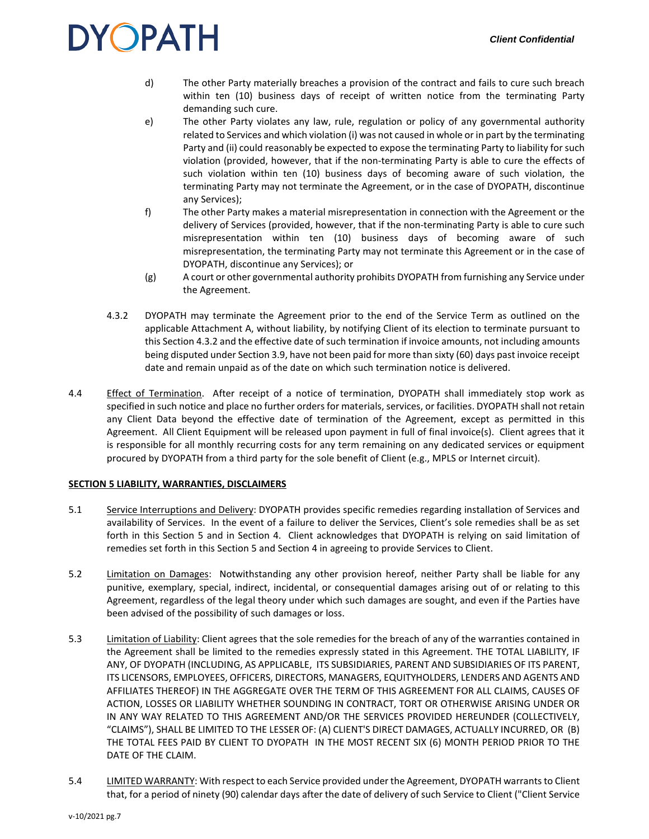- d) The other Party materially breaches a provision of the contract and fails to cure such breach within ten (10) business days of receipt of written notice from the terminating Party demanding such cure.
- e) The other Party violates any law, rule, regulation or policy of any governmental authority related to Services and which violation (i) was not caused in whole or in part by the terminating Party and (ii) could reasonably be expected to expose the terminating Party to liability for such violation (provided, however, that if the non-terminating Party is able to cure the effects of such violation within ten (10) business days of becoming aware of such violation, the terminating Party may not terminate the Agreement, or in the case of DYOPATH, discontinue any Services);
- f) The other Party makes a material misrepresentation in connection with the Agreement or the delivery of Services (provided, however, that if the non-terminating Party is able to cure such misrepresentation within ten (10) business days of becoming aware of such misrepresentation, the terminating Party may not terminate this Agreement or in the case of DYOPATH, discontinue any Services); or
- (g) A court or other governmental authority prohibits DYOPATH from furnishing any Service under the Agreement.
- 4.3.2 DYOPATH may terminate the Agreement prior to the end of the Service Term as outlined on the applicable Attachment A, without liability, by notifying Client of its election to terminate pursuant to this Section 4.3.2 and the effective date of such termination if invoice amounts, not including amounts being disputed under Section 3.9, have not been paid for more than sixty (60) days past invoice receipt date and remain unpaid as of the date on which such termination notice is delivered.
- 4.4 Effect of Termination. After receipt of a notice of termination, DYOPATH shall immediately stop work as specified in such notice and place no further orders for materials, services, or facilities. DYOPATH shall not retain any Client Data beyond the effective date of termination of the Agreement, except as permitted in this Agreement. All Client Equipment will be released upon payment in full of final invoice(s). Client agrees that it is responsible for all monthly recurring costs for any term remaining on any dedicated services or equipment procured by DYOPATH from a third party for the sole benefit of Client (e.g., MPLS or Internet circuit).

### **SECTION 5 LIABILITY, WARRANTIES, DISCLAIMERS**

- 5.1 Service Interruptions and Delivery: DYOPATH provides specific remedies regarding installation of Services and availability of Services. In the event of a failure to deliver the Services, Client's sole remedies shall be as set forth in this Section 5 and in Section 4. Client acknowledges that DYOPATH is relying on said limitation of remedies set forth in this Section 5 and Section 4 in agreeing to provide Services to Client.
- 5.2 Limitation on Damages: Notwithstanding any other provision hereof, neither Party shall be liable for any punitive, exemplary, special, indirect, incidental, or consequential damages arising out of or relating to this Agreement, regardless of the legal theory under which such damages are sought, and even if the Parties have been advised of the possibility of such damages or loss.
- 5.3 Limitation of Liability: Client agrees that the sole remedies for the breach of any of the warranties contained in the Agreement shall be limited to the remedies expressly stated in this Agreement. THE TOTAL LIABILITY, IF ANY, OF DYOPATH (INCLUDING, AS APPLICABLE, ITS SUBSIDIARIES, PARENT AND SUBSIDIARIES OF ITS PARENT, ITS LICENSORS, EMPLOYEES, OFFICERS, DIRECTORS, MANAGERS, EQUITYHOLDERS, LENDERS AND AGENTS AND AFFILIATES THEREOF) IN THE AGGREGATE OVER THE TERM OF THIS AGREEMENT FOR ALL CLAIMS, CAUSES OF ACTION, LOSSES OR LIABILITY WHETHER SOUNDING IN CONTRACT, TORT OR OTHERWISE ARISING UNDER OR IN ANY WAY RELATED TO THIS AGREEMENT AND/OR THE SERVICES PROVIDED HEREUNDER (COLLECTIVELY, "CLAIMS"), SHALL BE LIMITED TO THE LESSER OF: (A) CLIENT'S DIRECT DAMAGES, ACTUALLY INCURRED, OR (B) THE TOTAL FEES PAID BY CLIENT TO DYOPATH IN THE MOST RECENT SIX (6) MONTH PERIOD PRIOR TO THE DATE OF THE CLAIM.
- 5.4 LIMITED WARRANTY: With respect to each Service provided under the Agreement, DYOPATH warrants to Client that, for a period of ninety (90) calendar days after the date of delivery of such Service to Client ("Client Service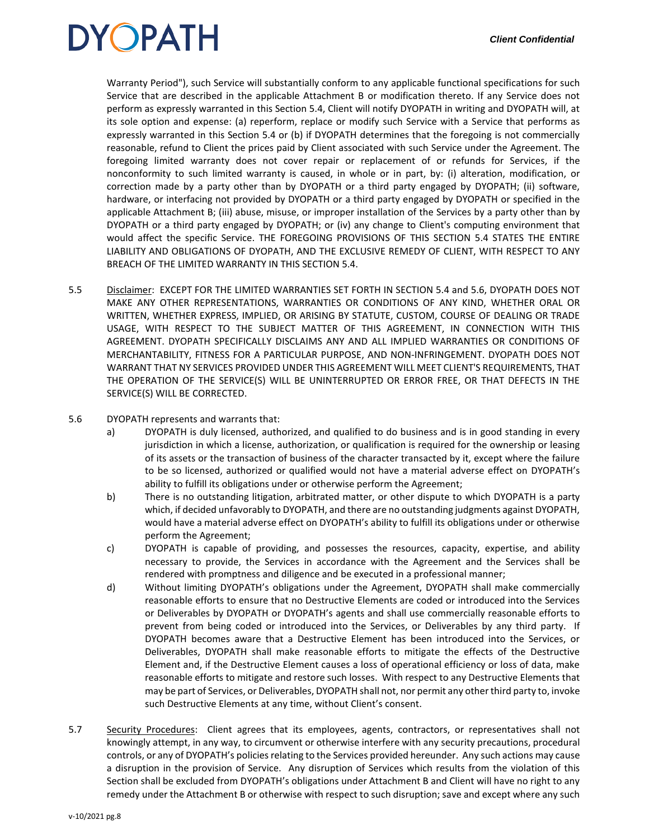

Warranty Period"), such Service will substantially conform to any applicable functional specifications for such Service that are described in the applicable Attachment B or modification thereto. If any Service does not perform as expressly warranted in this Section 5.4, Client will notify DYOPATH in writing and DYOPATH will, at its sole option and expense: (a) reperform, replace or modify such Service with a Service that performs as expressly warranted in this Section 5.4 or (b) if DYOPATH determines that the foregoing is not commercially reasonable, refund to Client the prices paid by Client associated with such Service under the Agreement. The foregoing limited warranty does not cover repair or replacement of or refunds for Services, if the nonconformity to such limited warranty is caused, in whole or in part, by: (i) alteration, modification, or correction made by a party other than by DYOPATH or a third party engaged by DYOPATH; (ii) software, hardware, or interfacing not provided by DYOPATH or a third party engaged by DYOPATH or specified in the applicable Attachment B; (iii) abuse, misuse, or improper installation of the Services by a party other than by DYOPATH or a third party engaged by DYOPATH; or (iv) any change to Client's computing environment that would affect the specific Service. THE FOREGOING PROVISIONS OF THIS SECTION 5.4 STATES THE ENTIRE LIABILITY AND OBLIGATIONS OF DYOPATH, AND THE EXCLUSIVE REMEDY OF CLIENT, WITH RESPECT TO ANY BREACH OF THE LIMITED WARRANTY IN THIS SECTION 5.4.

- 5.5 Disclaimer: EXCEPT FOR THE LIMITED WARRANTIES SET FORTH IN SECTION 5.4 and 5.6, DYOPATH DOES NOT MAKE ANY OTHER REPRESENTATIONS, WARRANTIES OR CONDITIONS OF ANY KIND, WHETHER ORAL OR WRITTEN, WHETHER EXPRESS, IMPLIED, OR ARISING BY STATUTE, CUSTOM, COURSE OF DEALING OR TRADE USAGE, WITH RESPECT TO THE SUBJECT MATTER OF THIS AGREEMENT, IN CONNECTION WITH THIS AGREEMENT. DYOPATH SPECIFICALLY DISCLAIMS ANY AND ALL IMPLIED WARRANTIES OR CONDITIONS OF MERCHANTABILITY, FITNESS FOR A PARTICULAR PURPOSE, AND NON-INFRINGEMENT. DYOPATH DOES NOT WARRANT THAT NY SERVICES PROVIDED UNDER THIS AGREEMENT WILL MEET CLIENT'S REQUIREMENTS, THAT THE OPERATION OF THE SERVICE(S) WILL BE UNINTERRUPTED OR ERROR FREE, OR THAT DEFECTS IN THE SERVICE(S) WILL BE CORRECTED.
- 5.6 DYOPATH represents and warrants that:
	- a) DYOPATH is duly licensed, authorized, and qualified to do business and is in good standing in every jurisdiction in which a license, authorization, or qualification is required for the ownership or leasing of its assets or the transaction of business of the character transacted by it, except where the failure to be so licensed, authorized or qualified would not have a material adverse effect on DYOPATH's ability to fulfill its obligations under or otherwise perform the Agreement;
	- b) There is no outstanding litigation, arbitrated matter, or other dispute to which DYOPATH is a party which, if decided unfavorably to DYOPATH, and there are no outstanding judgments against DYOPATH, would have a material adverse effect on DYOPATH's ability to fulfill its obligations under or otherwise perform the Agreement;
	- c) DYOPATH is capable of providing, and possesses the resources, capacity, expertise, and ability necessary to provide, the Services in accordance with the Agreement and the Services shall be rendered with promptness and diligence and be executed in a professional manner;
	- d) Without limiting DYOPATH's obligations under the Agreement, DYOPATH shall make commercially reasonable efforts to ensure that no Destructive Elements are coded or introduced into the Services or Deliverables by DYOPATH or DYOPATH's agents and shall use commercially reasonable efforts to prevent from being coded or introduced into the Services, or Deliverables by any third party. If DYOPATH becomes aware that a Destructive Element has been introduced into the Services, or Deliverables, DYOPATH shall make reasonable efforts to mitigate the effects of the Destructive Element and, if the Destructive Element causes a loss of operational efficiency or loss of data, make reasonable efforts to mitigate and restore such losses. With respect to any Destructive Elements that may be part of Services, or Deliverables, DYOPATH shall not, nor permit any other third party to, invoke such Destructive Elements at any time, without Client's consent.
- 5.7 Security Procedures: Client agrees that its employees, agents, contractors, or representatives shall not knowingly attempt, in any way, to circumvent or otherwise interfere with any security precautions, procedural controls, or any of DYOPATH's policies relating to the Services provided hereunder. Any such actions may cause a disruption in the provision of Service. Any disruption of Services which results from the violation of this Section shall be excluded from DYOPATH's obligations under Attachment B and Client will have no right to any remedy under the Attachment B or otherwise with respect to such disruption; save and except where any such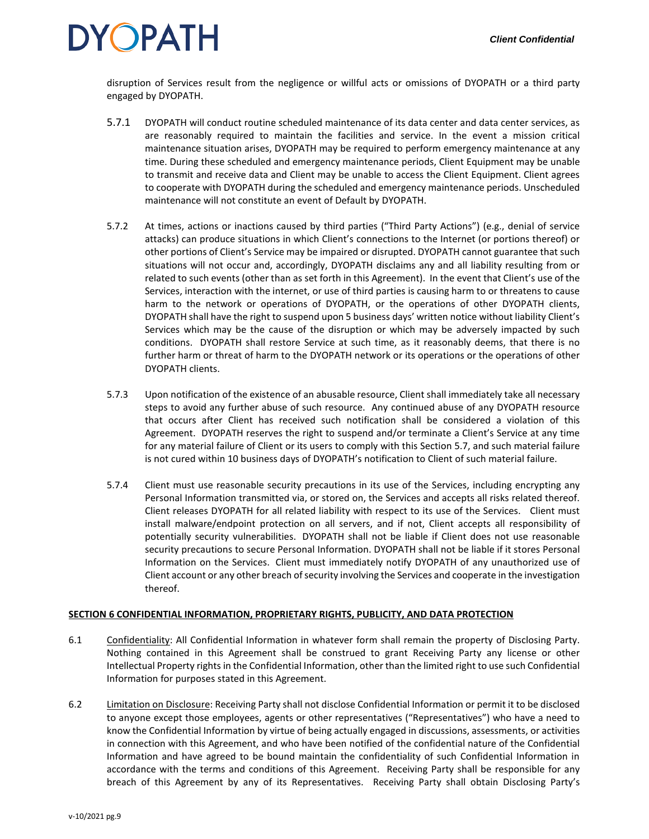disruption of Services result from the negligence or willful acts or omissions of DYOPATH or a third party engaged by DYOPATH.

- 5.7.1 DYOPATH will conduct routine scheduled maintenance of its data center and data center services, as are reasonably required to maintain the facilities and service. In the event a mission critical maintenance situation arises, DYOPATH may be required to perform emergency maintenance at any time. During these scheduled and emergency maintenance periods, Client Equipment may be unable to transmit and receive data and Client may be unable to access the Client Equipment. Client agrees to cooperate with DYOPATH during the scheduled and emergency maintenance periods. Unscheduled maintenance will not constitute an event of Default by DYOPATH.
- 5.7.2 At times, actions or inactions caused by third parties ("Third Party Actions") (e.g., denial of service attacks) can produce situations in which Client's connections to the Internet (or portions thereof) or other portions of Client's Service may be impaired or disrupted. DYOPATH cannot guarantee that such situations will not occur and, accordingly, DYOPATH disclaims any and all liability resulting from or related to such events (other than as set forth in this Agreement). In the event that Client's use of the Services, interaction with the internet, or use of third parties is causing harm to or threatens to cause harm to the network or operations of DYOPATH, or the operations of other DYOPATH clients, DYOPATH shall have the right to suspend upon 5 business days' written notice without liability Client's Services which may be the cause of the disruption or which may be adversely impacted by such conditions. DYOPATH shall restore Service at such time, as it reasonably deems, that there is no further harm or threat of harm to the DYOPATH network or its operations or the operations of other DYOPATH clients.
- 5.7.3 Upon notification of the existence of an abusable resource, Client shall immediately take all necessary steps to avoid any further abuse of such resource. Any continued abuse of any DYOPATH resource that occurs after Client has received such notification shall be considered a violation of this Agreement. DYOPATH reserves the right to suspend and/or terminate a Client's Service at any time for any material failure of Client or its users to comply with this Section 5.7, and such material failure is not cured within 10 business days of DYOPATH's notification to Client of such material failure.
- 5.7.4 Client must use reasonable security precautions in its use of the Services, including encrypting any Personal Information transmitted via, or stored on, the Services and accepts all risks related thereof. Client releases DYOPATH for all related liability with respect to its use of the Services. Client must install malware/endpoint protection on all servers, and if not, Client accepts all responsibility of potentially security vulnerabilities. DYOPATH shall not be liable if Client does not use reasonable security precautions to secure Personal Information. DYOPATH shall not be liable if it stores Personal Information on the Services. Client must immediately notify DYOPATH of any unauthorized use of Client account or any other breach of security involving the Services and cooperate in the investigation thereof.

### **SECTION 6 CONFIDENTIAL INFORMATION, PROPRIETARY RIGHTS, PUBLICITY, AND DATA PROTECTION**

- 6.1 Confidentiality: All Confidential Information in whatever form shall remain the property of Disclosing Party. Nothing contained in this Agreement shall be construed to grant Receiving Party any license or other Intellectual Property rights in the Confidential Information, other than the limited right to use such Confidential Information for purposes stated in this Agreement.
- 6.2 Limitation on Disclosure: Receiving Party shall not disclose Confidential Information or permit it to be disclosed to anyone except those employees, agents or other representatives ("Representatives") who have a need to know the Confidential Information by virtue of being actually engaged in discussions, assessments, or activities in connection with this Agreement, and who have been notified of the confidential nature of the Confidential Information and have agreed to be bound maintain the confidentiality of such Confidential Information in accordance with the terms and conditions of this Agreement. Receiving Party shall be responsible for any breach of this Agreement by any of its Representatives. Receiving Party shall obtain Disclosing Party's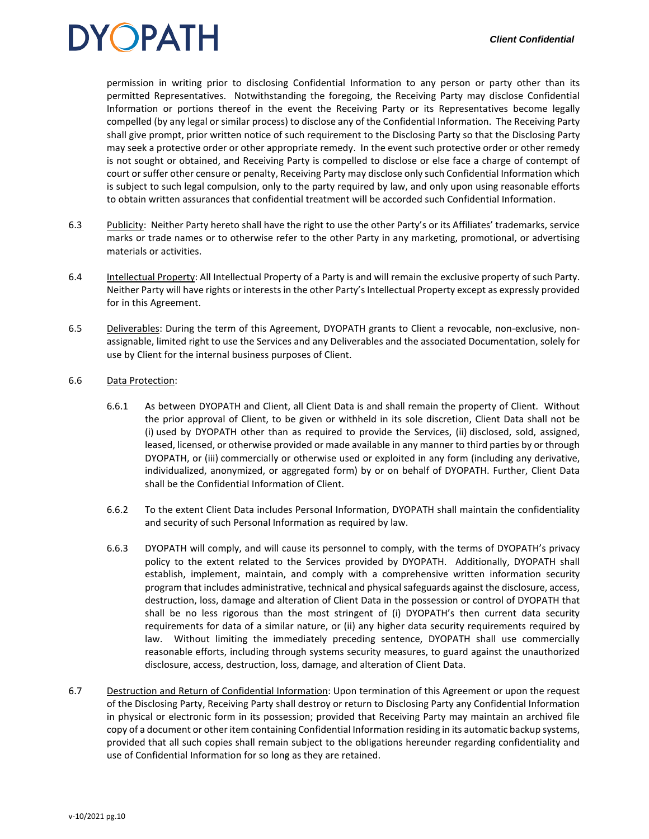permission in writing prior to disclosing Confidential Information to any person or party other than its permitted Representatives. Notwithstanding the foregoing, the Receiving Party may disclose Confidential Information or portions thereof in the event the Receiving Party or its Representatives become legally compelled (by any legal or similar process) to disclose any of the Confidential Information. The Receiving Party shall give prompt, prior written notice of such requirement to the Disclosing Party so that the Disclosing Party may seek a protective order or other appropriate remedy. In the event such protective order or other remedy is not sought or obtained, and Receiving Party is compelled to disclose or else face a charge of contempt of court or suffer other censure or penalty, Receiving Party may disclose only such Confidential Information which is subject to such legal compulsion, only to the party required by law, and only upon using reasonable efforts to obtain written assurances that confidential treatment will be accorded such Confidential Information.

- 6.3 Publicity: Neither Party hereto shall have the right to use the other Party's or its Affiliates' trademarks, service marks or trade names or to otherwise refer to the other Party in any marketing, promotional, or advertising materials or activities.
- 6.4 Intellectual Property: All Intellectual Property of a Party is and will remain the exclusive property of such Party. Neither Party will have rights or interests in the other Party's Intellectual Property except as expressly provided for in this Agreement.
- 6.5 Deliverables: During the term of this Agreement, DYOPATH grants to Client a revocable, non-exclusive, nonassignable, limited right to use the Services and any Deliverables and the associated Documentation, solely for use by Client for the internal business purposes of Client.

#### 6.6 Data Protection:

- 6.6.1 As between DYOPATH and Client, all Client Data is and shall remain the property of Client. Without the prior approval of Client, to be given or withheld in its sole discretion, Client Data shall not be (i) used by DYOPATH other than as required to provide the Services, (ii) disclosed, sold, assigned, leased, licensed, or otherwise provided or made available in any manner to third parties by or through DYOPATH, or (iii) commercially or otherwise used or exploited in any form (including any derivative, individualized, anonymized, or aggregated form) by or on behalf of DYOPATH. Further, Client Data shall be the Confidential Information of Client.
- 6.6.2 To the extent Client Data includes Personal Information, DYOPATH shall maintain the confidentiality and security of such Personal Information as required by law.
- 6.6.3 DYOPATH will comply, and will cause its personnel to comply, with the terms of DYOPATH's privacy policy to the extent related to the Services provided by DYOPATH. Additionally, DYOPATH shall establish, implement, maintain, and comply with a comprehensive written information security program that includes administrative, technical and physical safeguards against the disclosure, access, destruction, loss, damage and alteration of Client Data in the possession or control of DYOPATH that shall be no less rigorous than the most stringent of (i) DYOPATH's then current data security requirements for data of a similar nature, or (ii) any higher data security requirements required by law. Without limiting the immediately preceding sentence, DYOPATH shall use commercially reasonable efforts, including through systems security measures, to guard against the unauthorized disclosure, access, destruction, loss, damage, and alteration of Client Data.
- 6.7 Destruction and Return of Confidential Information: Upon termination of this Agreement or upon the request of the Disclosing Party, Receiving Party shall destroy or return to Disclosing Party any Confidential Information in physical or electronic form in its possession; provided that Receiving Party may maintain an archived file copy of a document or other item containing Confidential Information residing in its automatic backup systems, provided that all such copies shall remain subject to the obligations hereunder regarding confidentiality and use of Confidential Information for so long as they are retained.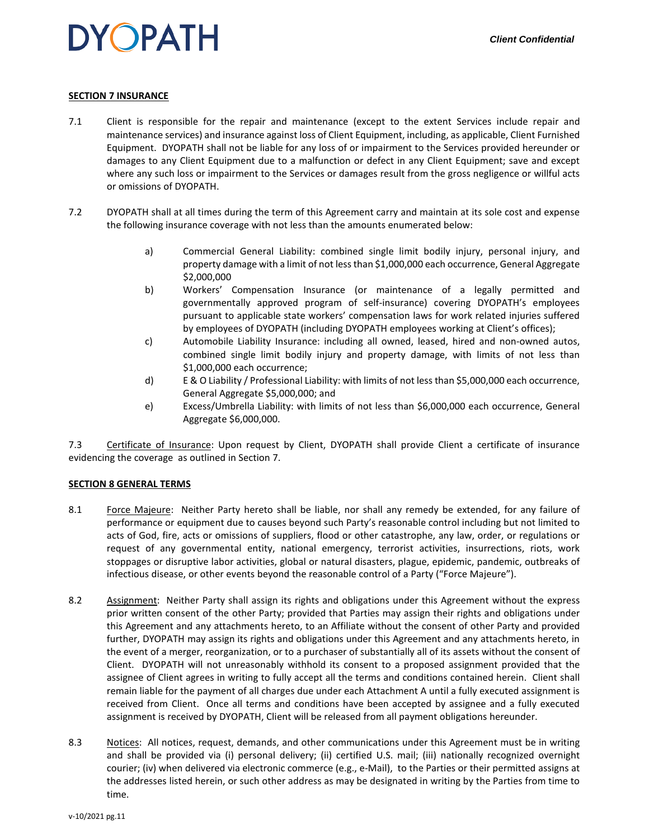### **SECTION 7 INSURANCE**

- 7.1 Client is responsible for the repair and maintenance (except to the extent Services include repair and maintenance services) and insurance against loss of Client Equipment, including, as applicable, Client Furnished Equipment. DYOPATH shall not be liable for any loss of or impairment to the Services provided hereunder or damages to any Client Equipment due to a malfunction or defect in any Client Equipment; save and except where any such loss or impairment to the Services or damages result from the gross negligence or willful acts or omissions of DYOPATH.
- 7.2 DYOPATH shall at all times during the term of this Agreement carry and maintain at its sole cost and expense the following insurance coverage with not less than the amounts enumerated below:
	- a) Commercial General Liability: combined single limit bodily injury, personal injury, and property damage with a limit of not less than \$1,000,000 each occurrence, General Aggregate \$2,000,000
	- b) Workers' Compensation Insurance (or maintenance of a legally permitted and governmentally approved program of self-insurance) covering DYOPATH's employees pursuant to applicable state workers' compensation laws for work related injuries suffered by employees of DYOPATH (including DYOPATH employees working at Client's offices);
	- c) Automobile Liability Insurance: including all owned, leased, hired and non-owned autos, combined single limit bodily injury and property damage, with limits of not less than \$1,000,000 each occurrence;
	- d) E & O Liability / Professional Liability: with limits of not less than \$5,000,000 each occurrence, General Aggregate \$5,000,000; and
	- e) Excess/Umbrella Liability: with limits of not less than \$6,000,000 each occurrence, General Aggregate \$6,000,000.

7.3 Certificate of Insurance: Upon request by Client, DYOPATH shall provide Client a certificate of insurance evidencing the coverage as outlined in Section 7.

#### **SECTION 8 GENERAL TERMS**

- 8.1 Force Majeure: Neither Party hereto shall be liable, nor shall any remedy be extended, for any failure of performance or equipment due to causes beyond such Party's reasonable control including but not limited to acts of God, fire, acts or omissions of suppliers, flood or other catastrophe, any law, order, or regulations or request of any governmental entity, national emergency, terrorist activities, insurrections, riots, work stoppages or disruptive labor activities, global or natural disasters, plague, epidemic, pandemic, outbreaks of infectious disease, or other events beyond the reasonable control of a Party ("Force Majeure").
- 8.2 Assignment: Neither Party shall assign its rights and obligations under this Agreement without the express prior written consent of the other Party; provided that Parties may assign their rights and obligations under this Agreement and any attachments hereto, to an Affiliate without the consent of other Party and provided further, DYOPATH may assign its rights and obligations under this Agreement and any attachments hereto, in the event of a merger, reorganization, or to a purchaser of substantially all of its assets without the consent of Client. DYOPATH will not unreasonably withhold its consent to a proposed assignment provided that the assignee of Client agrees in writing to fully accept all the terms and conditions contained herein. Client shall remain liable for the payment of all charges due under each Attachment A until a fully executed assignment is received from Client. Once all terms and conditions have been accepted by assignee and a fully executed assignment is received by DYOPATH, Client will be released from all payment obligations hereunder.
- 8.3 **Notices:** All notices, request, demands, and other communications under this Agreement must be in writing and shall be provided via (i) personal delivery; (ii) certified U.S. mail; (iii) nationally recognized overnight courier; (iv) when delivered via electronic commerce (e.g., e-Mail), to the Parties or their permitted assigns at the addresses listed herein, or such other address as may be designated in writing by the Parties from time to time.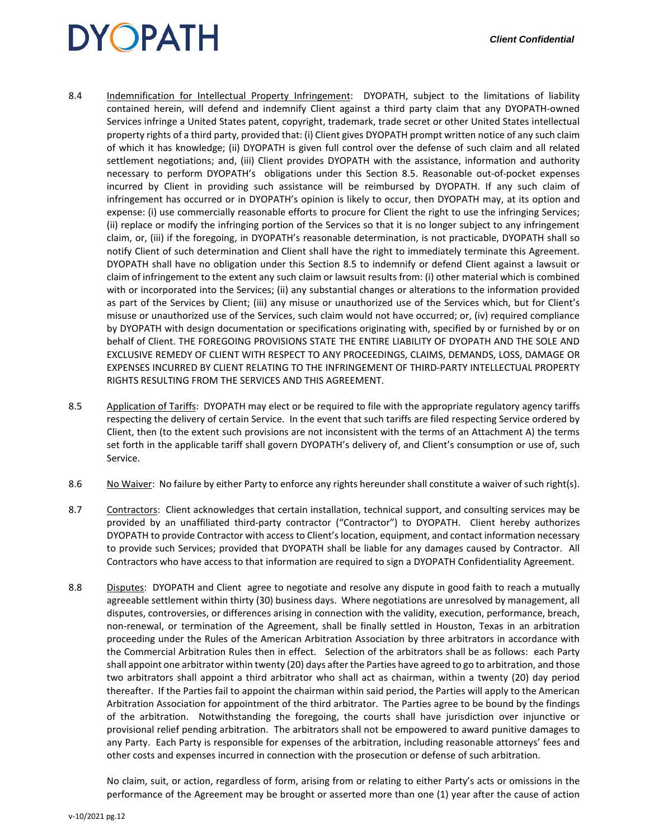- 8.4 Indemnification for Intellectual Property Infringement: DYOPATH, subject to the limitations of liability contained herein, will defend and indemnify Client against a third party claim that any DYOPATH-owned Services infringe a United States patent, copyright, trademark, trade secret or other United States intellectual property rights of a third party, provided that: (i) Client gives DYOPATH prompt written notice of any such claim of which it has knowledge; (ii) DYOPATH is given full control over the defense of such claim and all related settlement negotiations; and, (iii) Client provides DYOPATH with the assistance, information and authority necessary to perform DYOPATH's obligations under this Section 8.5. Reasonable out-of-pocket expenses incurred by Client in providing such assistance will be reimbursed by DYOPATH. If any such claim of infringement has occurred or in DYOPATH's opinion is likely to occur, then DYOPATH may, at its option and expense: (i) use commercially reasonable efforts to procure for Client the right to use the infringing Services; (ii) replace or modify the infringing portion of the Services so that it is no longer subject to any infringement claim, or, (iii) if the foregoing, in DYOPATH's reasonable determination, is not practicable, DYOPATH shall so notify Client of such determination and Client shall have the right to immediately terminate this Agreement. DYOPATH shall have no obligation under this Section 8.5 to indemnify or defend Client against a lawsuit or claim of infringement to the extent any such claim or lawsuit results from: (i) other material which is combined with or incorporated into the Services; (ii) any substantial changes or alterations to the information provided as part of the Services by Client; (iii) any misuse or unauthorized use of the Services which, but for Client's misuse or unauthorized use of the Services, such claim would not have occurred; or, (iv) required compliance by DYOPATH with design documentation or specifications originating with, specified by or furnished by or on behalf of Client. THE FOREGOING PROVISIONS STATE THE ENTIRE LIABILITY OF DYOPATH AND THE SOLE AND EXCLUSIVE REMEDY OF CLIENT WITH RESPECT TO ANY PROCEEDINGS, CLAIMS, DEMANDS, LOSS, DAMAGE OR EXPENSES INCURRED BY CLIENT RELATING TO THE INFRINGEMENT OF THIRD-PARTY INTELLECTUAL PROPERTY RIGHTS RESULTING FROM THE SERVICES AND THIS AGREEMENT.
- 8.5 Application of Tariffs: DYOPATH may elect or be required to file with the appropriate regulatory agency tariffs respecting the delivery of certain Service. In the event that such tariffs are filed respecting Service ordered by Client, then (to the extent such provisions are not inconsistent with the terms of an Attachment A) the terms set forth in the applicable tariff shall govern DYOPATH's delivery of, and Client's consumption or use of, such Service.
- 8.6 No Waiver: No failure by either Party to enforce any rights hereunder shall constitute a waiver of such right(s).
- 8.7 Contractors: Client acknowledges that certain installation, technical support, and consulting services may be provided by an unaffiliated third-party contractor ("Contractor") to DYOPATH. Client hereby authorizes DYOPATH to provide Contractor with access to Client's location, equipment, and contact information necessary to provide such Services; provided that DYOPATH shall be liable for any damages caused by Contractor. All Contractors who have access to that information are required to sign a DYOPATH Confidentiality Agreement.
- 8.8 Disputes: DYOPATH and Client agree to negotiate and resolve any dispute in good faith to reach a mutually agreeable settlement within thirty (30) business days. Where negotiations are unresolved by management, all disputes, controversies, or differences arising in connection with the validity, execution, performance, breach, non-renewal, or termination of the Agreement, shall be finally settled in Houston, Texas in an arbitration proceeding under the Rules of the American Arbitration Association by three arbitrators in accordance with the Commercial Arbitration Rules then in effect. Selection of the arbitrators shall be as follows: each Party shall appoint one arbitrator within twenty (20) days after the Parties have agreed to go to arbitration, and those two arbitrators shall appoint a third arbitrator who shall act as chairman, within a twenty (20) day period thereafter. If the Parties fail to appoint the chairman within said period, the Parties will apply to the American Arbitration Association for appointment of the third arbitrator. The Parties agree to be bound by the findings of the arbitration. Notwithstanding the foregoing, the courts shall have jurisdiction over injunctive or provisional relief pending arbitration. The arbitrators shall not be empowered to award punitive damages to any Party. Each Party is responsible for expenses of the arbitration, including reasonable attorneys' fees and other costs and expenses incurred in connection with the prosecution or defense of such arbitration.

No claim, suit, or action, regardless of form, arising from or relating to either Party's acts or omissions in the performance of the Agreement may be brought or asserted more than one (1) year after the cause of action